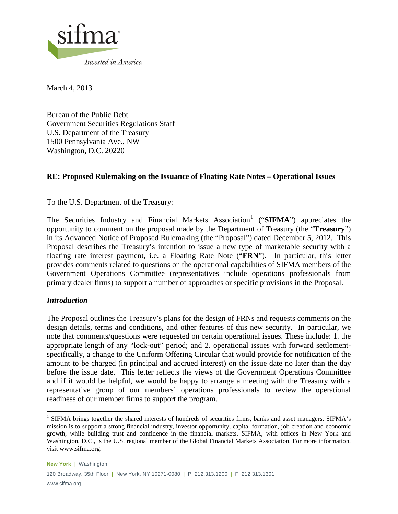

March 4, 2013

Bureau of the Public Debt Government Securities Regulations Staff U.S. Department of the Treasury 1500 Pennsylvania Ave., NW Washington, D.C. 20220

# **RE: Proposed Rulemaking on the Issuance of Floating Rate Notes – Operational Issues**

To the U.S. Department of the Treasury:

The Securities Industry and Financial Markets Association<sup>[1](#page-0-0)</sup> ("SIFMA") appreciates the opportunity to comment on the proposal made by the Department of Treasury (the "**Treasury**") in its Advanced Notice of Proposed Rulemaking (the "Proposal") dated December 5, 2012. This Proposal describes the Treasury's intention to issue a new type of marketable security with a floating rate interest payment, i.e. a Floating Rate Note ("**FRN**"). In particular, this letter provides comments related to questions on the operational capabilities of SIFMA members of the Government Operations Committee (representatives include operations professionals from primary dealer firms) to support a number of approaches or specific provisions in the Proposal.

## *Introduction*

The Proposal outlines the Treasury's plans for the design of FRNs and requests comments on the design details, terms and conditions, and other features of this new security. In particular, we note that comments/questions were requested on certain operational issues. These include: 1. the appropriate length of any "lock-out" period; and 2. operational issues with forward settlementspecifically, a change to the Uniform Offering Circular that would provide for notification of the amount to be charged (in principal and accrued interest) on the issue date no later than the day before the issue date. This letter reflects the views of the Government Operations Committee and if it would be helpful, we would be happy to arrange a meeting with the Treasury with a representative group of our members' operations professionals to review the operational readiness of our member firms to support the program.

<span id="page-0-0"></span><sup>&</sup>lt;sup>1</sup> SIFMA brings together the shared interests of hundreds of securities firms, banks and asset managers. SIFMA's mission is to support a strong financial industry, investor opportunity, capital formation, job creation and economic growth, while building trust and confidence in the financial markets. SIFMA, with offices in New York and Washington, D.C., is the U.S. regional member of the Global Financial Markets Association. For more information, visit www.sifma.org.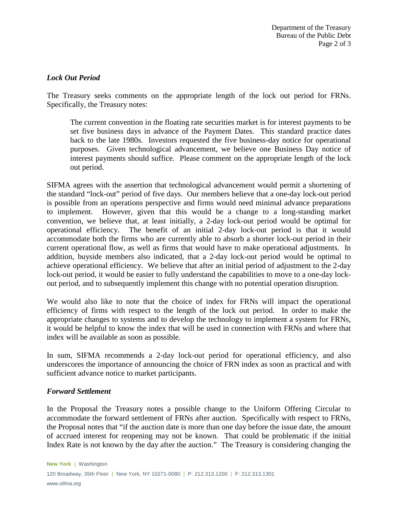# *Lock Out Period*

The Treasury seeks comments on the appropriate length of the lock out period for FRNs. Specifically, the Treasury notes:

The current convention in the floating rate securities market is for interest payments to be set five business days in advance of the Payment Dates. This standard practice dates back to the late 1980s. Investors requested the five business-day notice for operational purposes. Given technological advancement, we believe one Business Day notice of interest payments should suffice. Please comment on the appropriate length of the lock out period.

SIFMA agrees with the assertion that technological advancement would permit a shortening of the standard "lock-out" period of five days. Our members believe that a one-day lock-out period is possible from an operations perspective and firms would need minimal advance preparations to implement. However, given that this would be a change to a long-standing market convention, we believe that, at least initially, a 2-day lock-out period would be optimal for operational efficiency. The benefit of an initial 2-day lock-out period is that it would accommodate both the firms who are currently able to absorb a shorter lock-out period in their current operational flow, as well as firms that would have to make operational adjustments. In addition, buyside members also indicated, that a 2-day lock-out period would be optimal to achieve operational efficiency. We believe that after an initial period of adjustment to the 2-day lock-out period, it would be easier to fully understand the capabilities to move to a one-day lockout period, and to subsequently implement this change with no potential operation disruption.

We would also like to note that the choice of index for FRNs will impact the operational efficiency of firms with respect to the length of the lock out period. In order to make the appropriate changes to systems and to develop the technology to implement a system for FRNs, it would be helpful to know the index that will be used in connection with FRNs and where that index will be available as soon as possible.

In sum, SIFMA recommends a 2-day lock-out period for operational efficiency, and also underscores the importance of announcing the choice of FRN index as soon as practical and with sufficient advance notice to market participants.

## *Forward Settlement*

In the Proposal the Treasury notes a possible change to the Uniform Offering Circular to accommodate the forward settlement of FRNs after auction. Specifically with respect to FRNs, the Proposal notes that "if the auction date is more than one day before the issue date, the amount of accrued interest for reopening may not be known. That could be problematic if the initial Index Rate is not known by the day after the auction." The Treasury is considering changing the